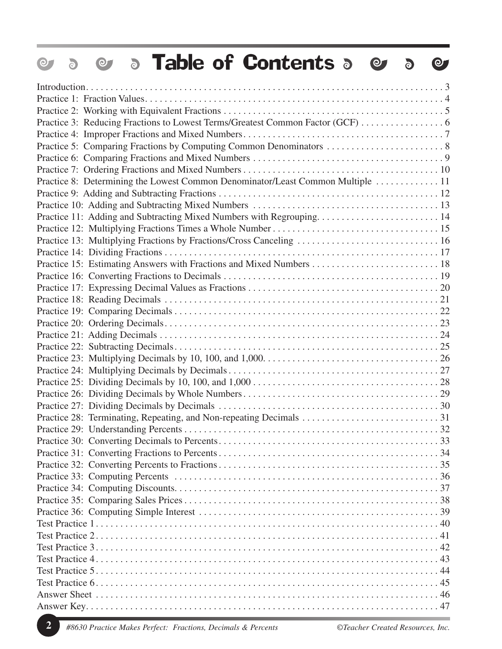| <b>• Table of Contents •</b><br>$\odot$<br>$\bullet$<br>$\delta$                | $\bullet$ |
|---------------------------------------------------------------------------------|-----------|
|                                                                                 |           |
|                                                                                 |           |
|                                                                                 |           |
|                                                                                 |           |
|                                                                                 |           |
|                                                                                 |           |
|                                                                                 |           |
|                                                                                 |           |
| Practice 8: Determining the Lowest Common Denominator/Least Common Multiple  11 |           |
|                                                                                 |           |
|                                                                                 |           |
| Practice 11: Adding and Subtracting Mixed Numbers with Regrouping 14            |           |
|                                                                                 |           |
| Practice 13: Multiplying Fractions by Fractions/Cross Canceling  16             |           |
|                                                                                 |           |
|                                                                                 |           |
|                                                                                 |           |
|                                                                                 |           |
|                                                                                 |           |
|                                                                                 |           |
|                                                                                 |           |
|                                                                                 |           |
|                                                                                 |           |
|                                                                                 |           |
|                                                                                 |           |
|                                                                                 |           |
|                                                                                 |           |
|                                                                                 |           |
|                                                                                 |           |
|                                                                                 |           |
|                                                                                 |           |
|                                                                                 |           |
|                                                                                 |           |
|                                                                                 |           |
|                                                                                 |           |
|                                                                                 |           |
|                                                                                 |           |
|                                                                                 |           |
|                                                                                 |           |
|                                                                                 |           |
|                                                                                 |           |
|                                                                                 |           |
|                                                                                 |           |
|                                                                                 |           |
|                                                                                 |           |
|                                                                                 |           |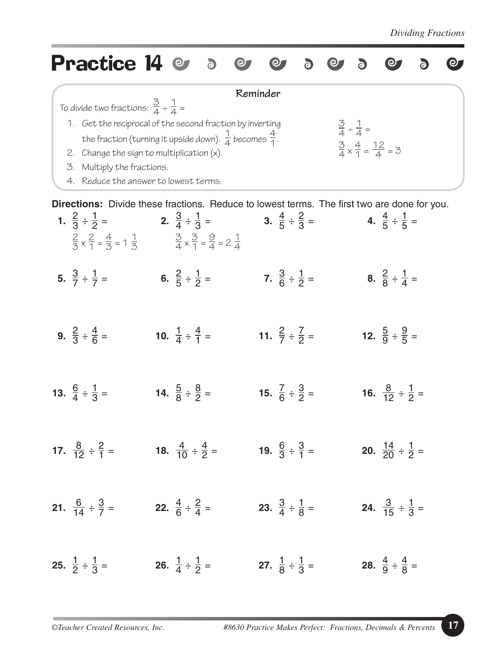| <b>Practice 14</b>                                                                                                                                                                  | $\overline{6}$                                                                                                                                                       |                                      |                                                                                                                                    |  |
|-------------------------------------------------------------------------------------------------------------------------------------------------------------------------------------|----------------------------------------------------------------------------------------------------------------------------------------------------------------------|--------------------------------------|------------------------------------------------------------------------------------------------------------------------------------|--|
| To divide two fractions: $\frac{3}{4} \div \frac{1}{4} =$<br>2. Change the sign to multiplication (x).<br>Multiply the fractions.<br>3.<br>Reduce the answer to lowest terms.<br>4. | 1. Get the reciprocal of the second fraction by inverting<br>the fraction (turning it upside down). $\frac{1}{4}$ becomes $\frac{4}{1}$ .                            | Reminder                             | $rac{3}{4} \div \frac{1}{4} =$<br>$\frac{3}{4} \times \frac{4}{1} = \frac{12}{4} = 3$                                              |  |
| 1. $\frac{2}{3} \div \frac{1}{2} =$                                                                                                                                                 | 2. $\frac{3}{4} \div \frac{1}{3} =$<br>$\frac{2}{3} \times \frac{2}{1} = \frac{4}{3} = 1 \frac{1}{3}$ $\frac{3}{4} \times \frac{3}{1} = \frac{9}{4} = 2 \frac{1}{4}$ | 3. $\frac{4}{5} \div \frac{2}{3} =$  | Directions: Divide these fractions. Reduce to lowest terms. The first two are done for you.<br>4. $\frac{4}{5} \div \frac{1}{5}$ = |  |
| 5. $\frac{3}{7} \div \frac{1}{7}$ =                                                                                                                                                 | 6. $\frac{2}{5} \div \frac{1}{2} =$                                                                                                                                  | 7. $\frac{3}{6} \div \frac{1}{2} =$  | 8. $\frac{2}{8} \div \frac{1}{4} =$                                                                                                |  |
| 9. $\frac{2}{3} \div \frac{4}{6} =$                                                                                                                                                 | 10. $\frac{1}{4} \div \frac{4}{1} =$                                                                                                                                 | 11. $\frac{2}{7} \div \frac{7}{2} =$ | 12. $\frac{5}{9} \div \frac{9}{5} =$                                                                                               |  |
| 13. $\frac{6}{4} \div \frac{1}{3} =$                                                                                                                                                | 14. $\frac{5}{8} \div \frac{8}{2} =$                                                                                                                                 | 15. $\frac{7}{6} \div \frac{3}{2} =$ | 16. $\frac{8}{12} \div \frac{1}{2} =$                                                                                              |  |
| 17. $\frac{8}{12} \div \frac{2}{1} =$                                                                                                                                               | 18. $\frac{4}{10} \div \frac{4}{2} =$                                                                                                                                | 19. $\frac{6}{3} \div \frac{3}{1} =$ | 20. $\frac{14}{20} \div \frac{1}{2} =$                                                                                             |  |
| 21. $\frac{6}{14} \div \frac{3}{7} =$                                                                                                                                               | 22. $\frac{4}{6} \div \frac{2}{4} =$                                                                                                                                 | 23. $\frac{3}{4} \div \frac{1}{8} =$ | <b>24.</b> $\frac{3}{15} \div \frac{1}{3} =$                                                                                       |  |
| <b>25.</b> $\frac{1}{2} \div \frac{1}{3} =$                                                                                                                                         | 26. $\frac{1}{4} \div \frac{1}{2} =$                                                                                                                                 | 27. $\frac{1}{8} \div \frac{1}{3} =$ | <b>28.</b> $\frac{4}{9} \div \frac{4}{8} =$                                                                                        |  |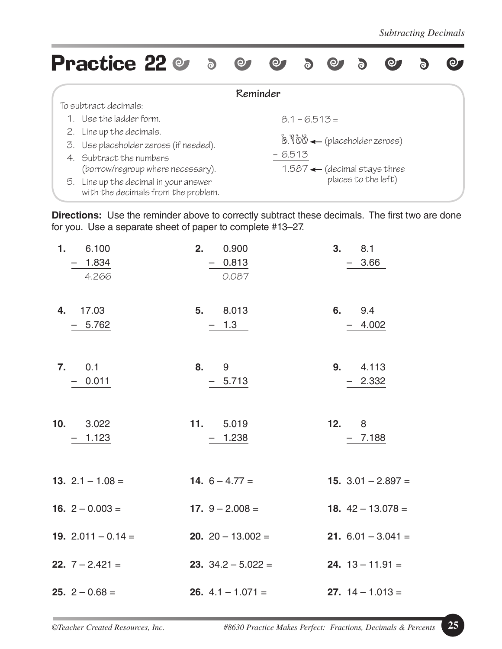| <b>Practice 22 @ 5</b>                                                       | $\odot$             | $\circ$ $\circ$ |                 | $\Theta$                                | $\delta$ | <b>O</b>                                  |  |  |
|------------------------------------------------------------------------------|---------------------|-----------------|-----------------|-----------------------------------------|----------|-------------------------------------------|--|--|
|                                                                              | Reminder            |                 |                 |                                         |          |                                           |  |  |
| To subtract decimals:                                                        |                     |                 |                 |                                         |          |                                           |  |  |
| 1. Use the ladder form.                                                      |                     |                 | $8.1 - 6.513 =$ |                                         |          |                                           |  |  |
| 2. Line up the decimals.                                                     |                     |                 |                 |                                         |          |                                           |  |  |
| 3. Use placeholder zeroes (if needed).                                       |                     |                 |                 | $8.900 \leftarrow$ (placeholder zeroes) |          |                                           |  |  |
| 4. Subtract the numbers                                                      |                     | $-6.513$        |                 |                                         |          |                                           |  |  |
| (borrow/regroup where necessary).                                            |                     |                 |                 |                                         |          | $1.587$ $\leftarrow$ (decimal stays three |  |  |
| 5. Line up the decimal in your answer<br>with the decimals from the problem. | places to the left) |                 |                 |                                         |          |                                           |  |  |

**Directions:** Use the reminder above to correctly subtract these decimals. The first two are done for you. Use a separate sheet of paper to complete #13–27.

| 1. 6.100                 | 2.                       | 0.900                                                | 3. 8.1                      |
|--------------------------|--------------------------|------------------------------------------------------|-----------------------------|
| $-1.834$                 |                          | $-0.813$                                             | $-3.66$                     |
| 4.266                    |                          | 0.087                                                |                             |
| 4. 17.03                 | 5. 8.013                 |                                                      | 6. 9.4                      |
| $-5.762$                 |                          | $-1.3$                                               | $-4.002$                    |
| 7.0.1                    | 8. 9                     |                                                      | 9. 4.113                    |
| $-0.011$                 |                          | $-5.713$                                             | $-2.332$                    |
| 10. 3.022                | 11. 5.019                |                                                      | 12.8                        |
| $-1.123$                 |                          | $-1.238$                                             | $-7.188$                    |
| 13. $2.1 - 1.08 =$       | <b>14.</b> $6 - 4.77 =$  |                                                      | 15. $3.01 - 2.897 =$        |
| 16. $2 - 0.003 =$        | <b>17.</b> $9 - 2.008 =$ |                                                      | <b>18.</b> $42 - 13.078 =$  |
| 19. $2.011 - 0.14 =$     |                          | <b>20.</b> $20 - 13.002 =$                           | <b>21.</b> $6.01 - 3.041 =$ |
| <b>22.</b> $7 - 2.421 =$ |                          | <b>23.</b> $34.2 - 5.022 =$                          | <b>24.</b> $13 - 11.91 =$   |
| <b>25.</b> $2 - 0.68 =$  |                          | <b>26.</b> $4.1 - 1.071 =$ <b>27.</b> $14 - 1.013 =$ |                             |